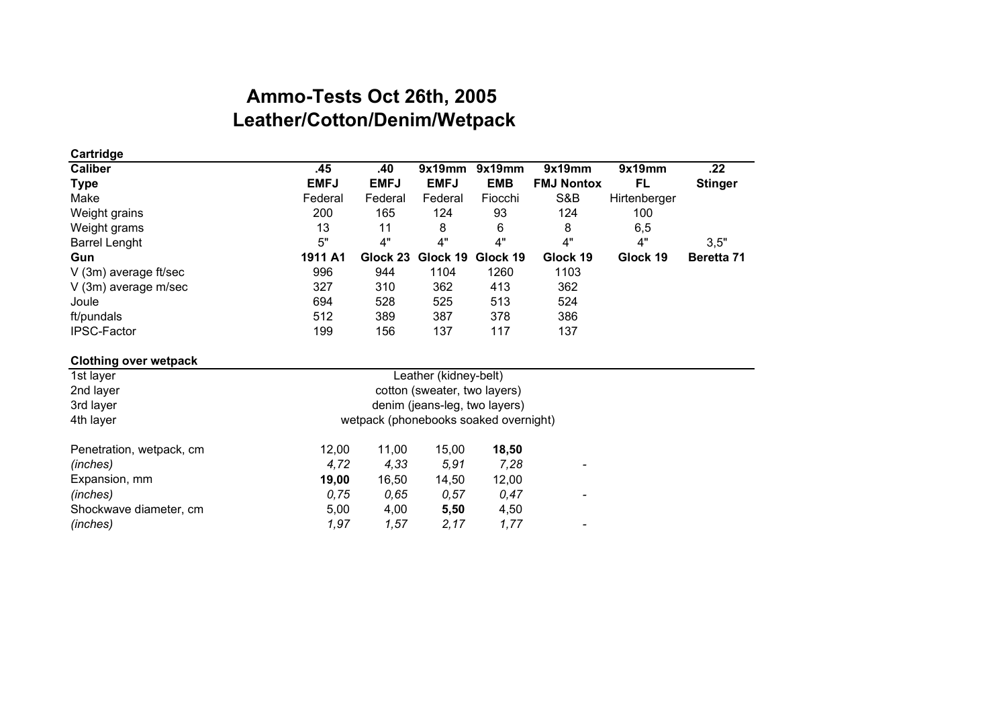## **Leather/Cotton/Denim/Wetpack Ammo-Tests Oct 26th, 2005**

| Cartridge                    |                                       |             |                       |            |                   |              |                |  |
|------------------------------|---------------------------------------|-------------|-----------------------|------------|-------------------|--------------|----------------|--|
| <b>Caliber</b>               | .45                                   | .40         | 9x19mm                | 9x19mm     | 9x19mm            | 9x19mm       | .22            |  |
| <b>Type</b>                  | <b>EMFJ</b>                           | <b>EMFJ</b> | <b>EMFJ</b>           | <b>EMB</b> | <b>FMJ Nontox</b> | FL           | <b>Stinger</b> |  |
| Make                         | Federal                               | Federal     | Federal               | Fiocchi    | S&B               | Hirtenberger |                |  |
| Weight grains                | 200                                   | 165         | 124                   | 93         | 124               | 100          |                |  |
| Weight grams                 | 13                                    | 11          | 8                     | 6          | 8                 | 6,5          |                |  |
| <b>Barrel Lenght</b>         | 5"                                    | 4"          | 4"                    | 4"         | 4"                | 4"           | 3,5"           |  |
| Gun                          | 1911 A1                               | Glock 23    | Glock 19              | Glock 19   | Glock 19          | Glock 19     | Beretta 71     |  |
| V (3m) average ft/sec        | 996                                   | 944         | 1104                  | 1260       | 1103              |              |                |  |
| V (3m) average m/sec         | 327                                   | 310         | 362                   | 413        | 362               |              |                |  |
| Joule                        | 694                                   | 528         | 525                   | 513        | 524               |              |                |  |
| ft/pundals                   | 512                                   | 389         | 387                   | 378        | 386               |              |                |  |
| IPSC-Factor                  | 199                                   | 156         | 137                   | 117        | 137               |              |                |  |
| <b>Clothing over wetpack</b> |                                       |             |                       |            |                   |              |                |  |
| 1st layer                    |                                       |             | Leather (kidney-belt) |            |                   |              |                |  |
| 2nd layer                    | cotton (sweater, two layers)          |             |                       |            |                   |              |                |  |
| 3rd layer                    | denim (jeans-leg, two layers)         |             |                       |            |                   |              |                |  |
| 4th layer                    | wetpack (phonebooks soaked overnight) |             |                       |            |                   |              |                |  |
| Penetration, wetpack, cm     | 12,00                                 | 11,00       | 15,00                 | 18,50      |                   |              |                |  |
| (inches)                     | 4,72                                  | 4,33        | 5,91                  | 7,28       |                   |              |                |  |
| Expansion, mm                | 19,00                                 | 16,50       | 14,50                 | 12,00      |                   |              |                |  |
| (inches)                     | 0,75                                  | 0,65        | 0,57                  | 0,47       |                   |              |                |  |
| Shockwave diameter, cm       | 5,00                                  | 4,00        | 5,50                  | 4,50       |                   |              |                |  |
| (inches)                     | 1,97                                  | 1,57        | 2,17                  | 1,77       |                   |              |                |  |